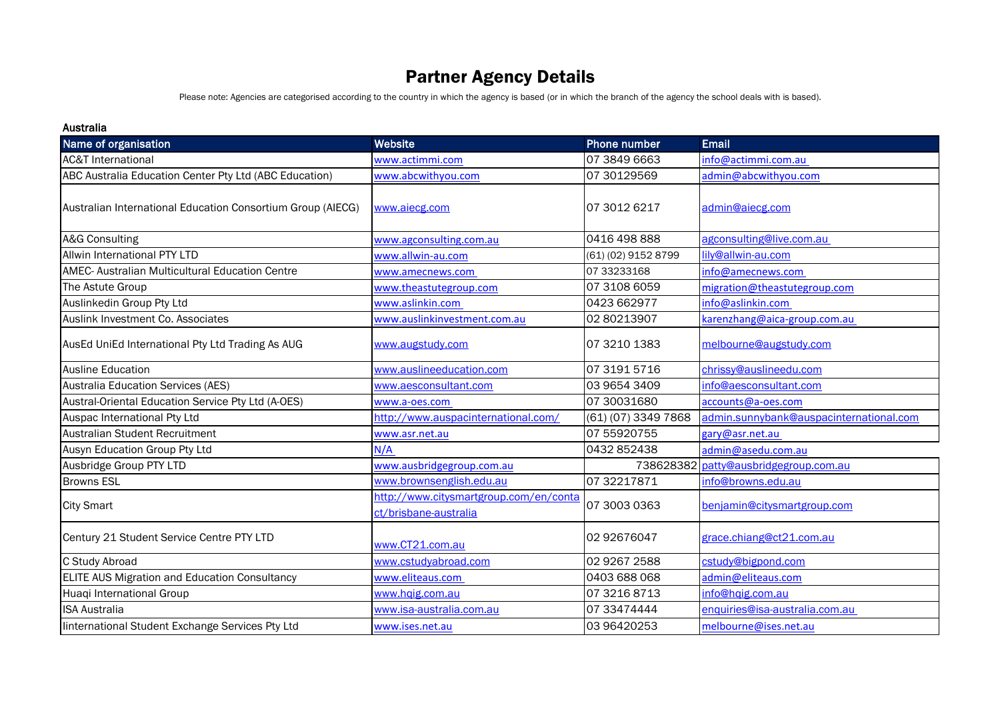# Partner Agency Details

Please note: Agencies are categorised according to the country in which the agency is based (or in which the branch of the agency the school deals with is based).

#### Australia

| Name of organisation                                        | Website                                                         | <b>Phone number</b> | <b>Email</b>                            |
|-------------------------------------------------------------|-----------------------------------------------------------------|---------------------|-----------------------------------------|
| <b>AC&amp;T International</b>                               | www.actimmi.com                                                 | 07 3849 6663        | info@actimmi.com.au                     |
| ABC Australia Education Center Pty Ltd (ABC Education)      | www.abcwithyou.com                                              | 07 30129569         | admin@abcwithyou.com                    |
| Australian International Education Consortium Group (AIECG) | www.aiecg.com                                                   | 07 3012 6217        | admin@aiecg.com                         |
| A&G Consulting                                              | www.agconsulting.com.au                                         | 0416 498 888        | agconsulting@live.com.au                |
| Allwin International PTY LTD                                | www.allwin-au.com                                               | (61) (02) 9152 8799 | lily@allwin-au.com                      |
| AMEC- Australian Multicultural Education Centre             | www.amecnews.com                                                | 07 33233168         | info@amecnews.com                       |
| The Astute Group                                            | www.theastutegroup.com                                          | 07 3108 6059        | migration@theastutegroup.com            |
| Auslinkedin Group Pty Ltd                                   | www.aslinkin.com                                                | 0423 662977         | info@aslinkin.com                       |
| Auslink Investment Co. Associates                           | www.auslinkinvestment.com.au                                    | 02 80213907         | karenzhang@aica-group.com.au            |
| AusEd UniEd International Pty Ltd Trading As AUG            | www.augstudy.com                                                | 07 3210 1383        | melbourne@augstudy.com                  |
| <b>Ausline Education</b>                                    | www.auslineeducation.com                                        | 07 3191 5716        | chrissy@auslineedu.com                  |
| Australia Education Services (AES)                          | www.aesconsultant.com                                           | 03 9654 3409        | info@aesconsultant.com                  |
| Austral-Oriental Education Service Pty Ltd (A-OES)          | www.a-oes.com                                                   | 07 30031680         | accounts@a-oes.com                      |
| Auspac International Pty Ltd                                | http://www.auspacinternational.com/                             | (61) (07) 3349 7868 | admin.sunnybank@auspacinternational.com |
| Australian Student Recruitment                              | www.asr.net.au                                                  | 07 55920755         | gary@asr.net.au                         |
| Ausyn Education Group Pty Ltd                               | N/A                                                             | 0432 852438         | admin@asedu.com.au                      |
| Ausbridge Group PTY LTD                                     | www.ausbridgegroup.com.au                                       | 738628382           | patty@ausbridgegroup.com.au             |
| <b>Browns ESL</b>                                           | www.brownsenglish.edu.au                                        | 07 32217871         | info@browns.edu.au                      |
| <b>City Smart</b>                                           | http://www.citysmartgroup.com/en/conta<br>ct/brisbane-australia | 07 3003 0363        | benjamin@citysmartgroup.com             |
| Century 21 Student Service Centre PTY LTD                   | www.CT21.com.au                                                 | 02 92676047         | grace.chiang@ct21.com.au                |
| C Study Abroad                                              | www.cstudyabroad.com                                            | 02 9267 2588        | cstudy@bigpond.com                      |
| ELITE AUS Migration and Education Consultancy               | www.eliteaus.com                                                | 0403 688 068        | admin@eliteaus.com                      |
| Huaqi International Group                                   | www.hqig.com.au                                                 | 07 3216 8713        | info@hqig.com.au                        |
| <b>ISA Australia</b>                                        | www.isa-australia.com.au                                        | 07 33474444         | enquiries@isa-australia.com.au          |
| linternational Student Exchange Services Pty Ltd            | www.ises.net.au                                                 | 03 964 2025 3       | melbourne@ises.net.au                   |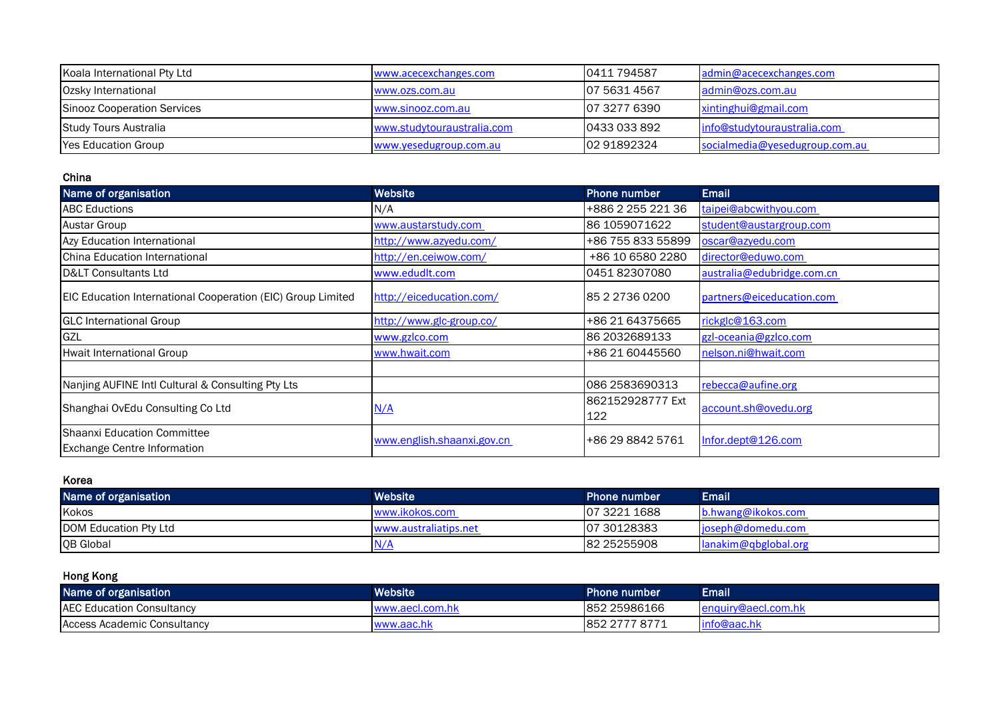| Koala International Pty Ltd | www.acecexchanges.com      | 0411794587    | admin@acecexchanges.com        |
|-----------------------------|----------------------------|---------------|--------------------------------|
| Ozsky International         | www.ozs.com.au             | 07 5631 4567  | admin@ozs.com.au               |
| Sinooz Cooperation Services | www.sinooz.com.au          | 107 3277 6390 | xintinghui@gmail.com           |
| Study Tours Australia       | www.studytouraustralia.com | 0433 033 892  | info@studytouraustralia.com    |
| <b>Yes Education Group</b>  | www.yesedugroup.com.au     | 02 91892324   | socialmedia@yesedugroup.com.au |

#### China

| Name of organisation                                              | Website                    | <b>Phone number</b>     | Email                      |
|-------------------------------------------------------------------|----------------------------|-------------------------|----------------------------|
| <b>ABC Eductions</b>                                              | N/A                        | +886 2 255 221 36       | taipei@abcwithyou.com      |
| <b>Austar Group</b>                                               | www.austarstudy.com        | 86 1059071622           | student@austargroup.com    |
| Azy Education International                                       | http://www.azyedu.com/     | +86 755 833 55899       | oscar@azyedu.com           |
| <b>I</b> China Education International                            | http://en.ceiwow.com/      | +86 10 6580 2280        | director@eduwo.com         |
| D< Consultants Ltd                                                | www.edudlt.com             | 045182307080            | australia@edubridge.com.cn |
| EIC Education International Cooperation (EIC) Group Limited       | http://eiceducation.com/   | 85 2 2736 0200          | partners@eiceducation.com  |
| <b>GLC</b> International Group                                    | http://www.glc-group.co/   | +86 21 64375665         | rickglc@163.com            |
| <b>GZL</b>                                                        | www.gzlco.com              | 86 2032689133           | gzl-oceania@gzlco.com      |
| Hwait International Group                                         | www.hwait.com              | +86 21 60445560         | nelson.ni@hwait.com        |
|                                                                   |                            |                         |                            |
| Nanjing AUFINE Intl Cultural & Consulting Pty Lts                 |                            | 086 2583690313          | rebecca@aufine.org         |
| Shanghai OvEdu Consulting Co Ltd                                  | N/A                        | 862152928777 Ext<br>122 | account.sh@ovedu.org       |
| Shaanxi Education Committee<br><b>Exchange Centre Information</b> | www.english.shaanxi.gov.cn | +86 29 8842 5761        | Infor.dept@126.com         |

### Korea

| Name of organisation          | <b>Website</b>        | <b>Phone number</b> | Email                         |
|-------------------------------|-----------------------|---------------------|-------------------------------|
| Kokos                         | www.ikokos.com        | 07 3221 1688        | b.hwang@ikokos.com            |
| <b>IDOM Education Pty Ltd</b> | www.australiatips.net | 07 30128383         | $\log_{10}$ ioseph@domedu.com |
| <b>QB</b> Global              | N                     | 82 25255908         | lanakim@qbglobal.org          |

# Hong Kong

| Name of organisation             | <b>Website</b>  | <b>Phone number</b>  | Email'      |
|----------------------------------|-----------------|----------------------|-------------|
| <b>AEC Education Consultancy</b> | www.aecl.com.hk | 852 25986166         |             |
| Access Academic Consultancy      | www.aac.hk      | 7 877<br>IRF<br>ے ےں | linto@aac.h |